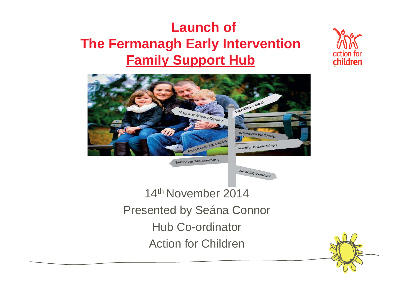### **Launch of The Fermanagh Early Intervention Family Support Hub**





Hub Co-ordinator

Action for Children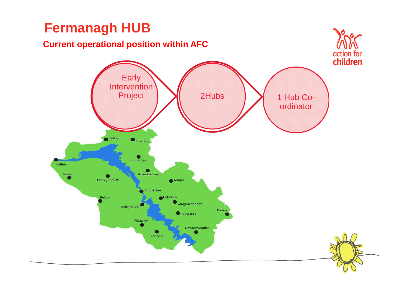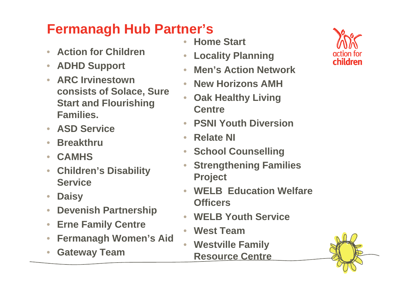## **Fermanagh Hub Partner's**

- $\bullet$ **Action for Children**
- $\bullet$ **ADHD Support**
- • **ARC Irvinestown consists of Solace, Sure Start and Flourishing Families.**
- $\bigcirc$ **ASD Service**
- $\overline{\phantom{0}}$ **Breakthru**
- $\overline{\phantom{0}}$ **CAMHS**
- **Children's Disability**   $\bullet$ **Service**
- $\bullet$ **Daisy**
- $\bullet$ **Devenish Partnership**
- $\bigcirc$ **Erne Family Centre**
- **Fermanagh Women's Aid**•
- $\bullet$ **Gateway Team**
- **Home Start**  $\bullet$
- $\bullet$ **Locality Planning**
- **Men's Action Network**   $\bullet$
- $\bigcirc$ **New Horizons AMH**
- **Oak Healthy Living**   $\bullet$ **Centre**
- $\bullet$ **PSNI Youth Diversion**
- $\bullet$ **Relate NI**
- •**School Counselling**
- $\bigcirc$  **Strengthening Families Project**
- $\bigcirc$  **WELB Education Welfare Officers**
- $\bullet$ **WELB Youth Service**
- $\bullet$ **West Team**
- **Westville Family**   $\bullet$ **Resource Centre**



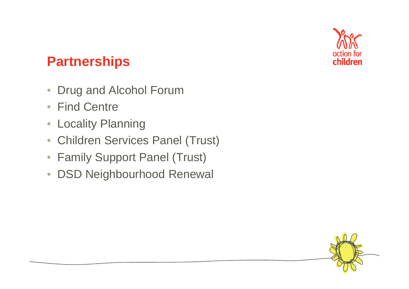

#### **Partnerships**

- $\overline{\phantom{0}}$ Drug and Alcohol Forum
- Find Centre
- Locality Planning
- Children Services Panel (Trust)
- Family Support Panel (Trust)
- DSD Neighbourhood Renewal

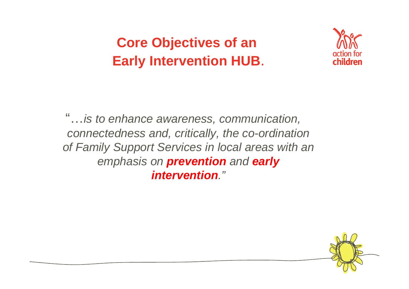**Core Objectives of anEarly Intervention HUB**.



"…is to enhance awareness, communication, connectedness and, critically, the co-ordination of Family Support Services in local areas with an emphasis on **prevention** and **early intervention**."

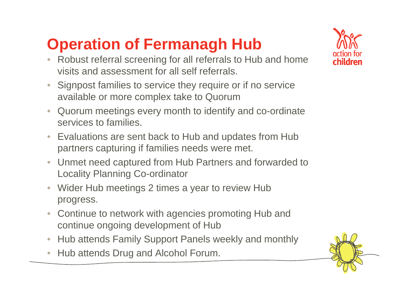# **Operation of Fermanagh Hub**

- Robust referral screening for all referrals to Hub and home visits and assessment for all self referrals.
- • Signpost families to service they require or if no service available or more complex take to Quorum
- Quorum meetings every month to identify and co-ordinate  $\bullet$ services to families.
- Evaluations are sent back to Hub and updates from Hub partners capturing if families needs were met.
- $\bullet$  Unmet need captured from Hub Partners and forwarded to Locality Planning Co-ordinator
- $\bigcirc$  Wider Hub meetings 2 times a year to review Hub progress.
- Continue to network with agencies promoting Hub andcontinue ongoing development of Hub
- •• Hub attends Family Support Panels weekly and monthly
- $\bullet$ Hub attends Drug and Alcohol Forum.



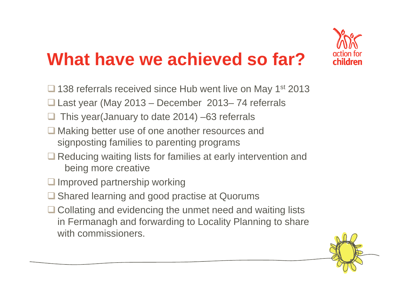

# **What have we achieved so far?**

- $\Box$  138 referrals received since Hub went live on May 1<sup>st</sup> 2013
- $\Box$  Last year (May 2013 December 2013–74 referrals
- $\Box$ This year(January to date 2014) –63 referrals
- □ Making better use of one another resources and<br>signposting families to paropting programs signposting families to parenting programs
- Reducing waiting lists for families at early intervention and<br>boing more creative being more creative
- $\Box$  Improved partnership working
- **□ Shared learning and good practise at Quorums**
- □ Collating and evidencing the unmet need and waiting lists<br>in Eermanagh and ferwarding to Locality Planning to share in Fermanagh and forwarding to Locality Planning to share with commissioners.

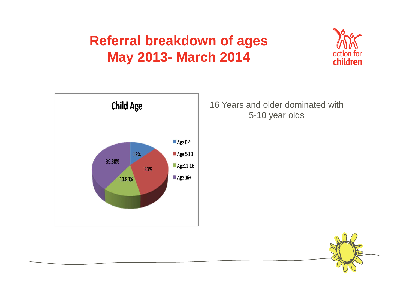#### **Referral breakdown of ages May 2013- March 2014**





16 Years and older dominated with 5-10 year olds

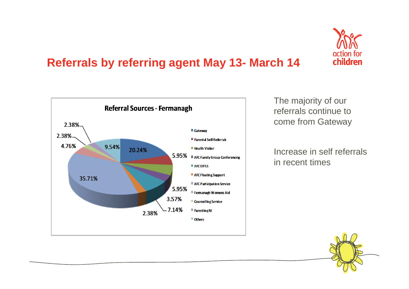

#### **Referrals by referring agent May 13- March 14**



The majority of our referrals continue to come from Gateway

Increase in self referrals in recent times

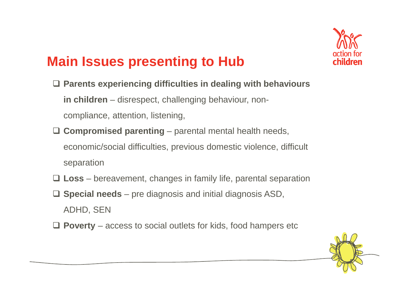

#### **Main Issues presenting to Hub**

- **Parents experiencing difficulties in dealing with behaviours in children** – disrespect, challenging behaviour, noncompliance, attention, listening,
- **Compromised parenting** parental mental health needs, economic/social difficulties, previous domestic violence, difficult separation
- **Loss** bereavement, changes in family life, parental separation
- **Special needs** pre diagnosis and initial diagnosis ASD, ADHD, SEN
- **Poverty**  access to social outlets for kids, food hampers etc

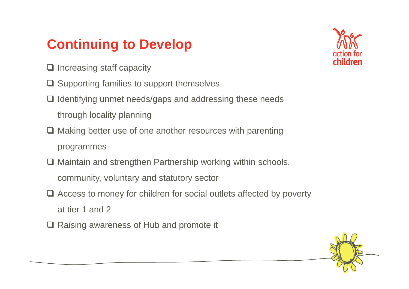### **Continuing to Develop**



- $\Box$  Increasing staff capacity
- **□ Supporting families to support themselves**
- $\Box$  Identifying unmet needs/gaps and addressing these needs through locality planning
- **□ Making better use of one another resources with parenting** programmes
- **□ Maintain and strengthen Partnership working within schools,** community, voluntary and statutory sector
- □ Access to money for children for social outlets affected by poverty at tier 1 and 2
- **□ Raising awareness of Hub and promote it**